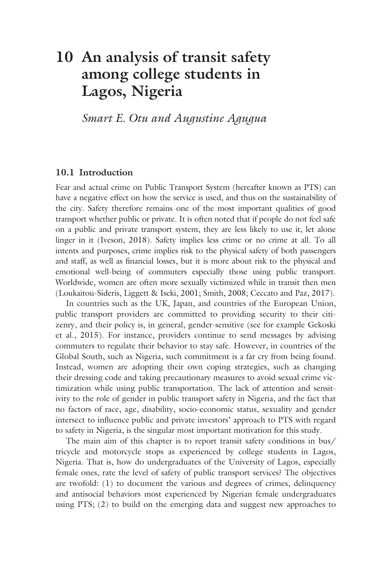# **10 [An analysis of transit safety](#page--1-0)  among college students in Lagos, Nigeria**

*Smart E. Otu and Augustine Agugua*

## **10.1 Introduction**

Fear and actual crime on Public Transport System (hereafter known as PTS) can have a negative effect on how the service is used, and thus on the sustainability of the city. Safety therefore remains one of the most important qualities of good transport whether public or private. It is often noted that if people do not feel safe on a public and private transport system, they are less likely to use it, let alone linger in it (Iveson, 2018). Safety implies less crime or no crime at all. To all intents and purposes, crime implies risk to the physical safety of both passengers and staff, as well as financial losses, but it is more about risk to the physical and emotional well-being of commuters especially those using public transport. Worldwide, women are often more sexually victimized while in transit then men (Loukaitou-Sideris, Liggett & Iseki, 2001; Smith, 2008; Ceccato and Paz, 2017).

In countries such as the UK, Japan, and countries of the European Union, public transport providers are committed to providing security to their citizenry, and their policy is, in general, gender-sensitive (see for example Gekoski et al., 2015). For instance, providers continue to send messages by advising commuters to regulate their behavior to stay safe. However, in countries of the Global South, such as Nigeria, such commitment is a far cry from being found. Instead, women are adopting their own coping strategies, such as changing their dressing code and taking precautionary measures to avoid sexual crime victimization while using public transportation. The lack of attention and sensitivity to the role of gender in public transport safety in Nigeria, and the fact that no factors of race, age, disability, socio-economic status, sexuality and gender intersect to influence public and private investors' approach to PTS with regard to safety in Nigeria, is the singular most important motivation for this study.

The main aim of this chapter is to report transit safety conditions in bus/ tricycle and motorcycle stops as experienced by college students in Lagos, Nigeria. That is, how do undergraduates of the University of Lagos, especially female ones, rate the level of safety of public transport services? The objectives are twofold: (1) to document the various and degrees of crimes, delinquency and antisocial behaviors most experienced by Nigerian female undergraduates using PTS; (2) to build on the emerging data and suggest new approaches to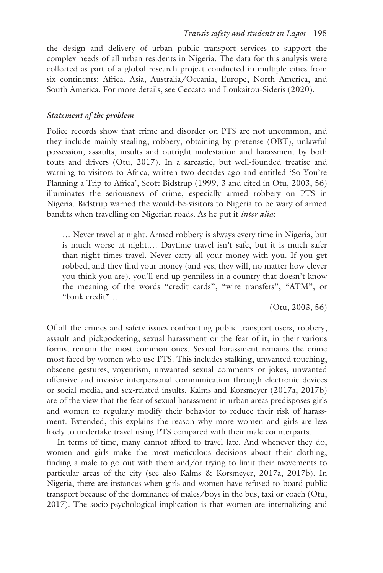the design and delivery of urban public transport services to support the complex needs of all urban residents in Nigeria. The data for this analysis were collected as part of a global research project conducted in multiple cities from six continents: Africa, Asia, Australia/Oceania, Europe, North America, and South America. For more details, see Ceccato and Loukaitou-Sideris (2020).

#### *Statement of the problem*

Police records show that crime and disorder on PTS are not uncommon, and they include mainly stealing, robbery, obtaining by pretense (OBT), unlawful possession, assaults, insults and outright molestation and harassment by both touts and drivers (Otu, 2017). In a sarcastic, but well-founded treatise and warning to visitors to Africa, written two decades ago and entitled 'So You're Planning a Trip to Africa', Scott Bidstrup (1999, 3 and cited in Otu, 2003, 56) illuminates the seriousness of crime, especially armed robbery on PTS in Nigeria. Bidstrup warned the would-be-visitors to Nigeria to be wary of armed bandits when travelling on Nigerian roads. As he put it *inter alia*:

… Never travel at night. Armed robbery is always every time in Nigeria, but is much worse at night.… Daytime travel isn't safe, but it is much safer than night times travel. Never carry all your money with you. If you get robbed, and they find your money (and yes, they will, no matter how clever you think you are), you'll end up penniless in a country that doesn't know the meaning of the words "credit cards", "wire transfers", "ATM", or "bank credit" …

(Otu, 2003, 56)

Of all the crimes and safety issues confronting public transport users, robbery, assault and pickpocketing, sexual harassment or the fear of it, in their various forms, remain the most common ones. Sexual harassment remains the crime most faced by women who use PTS. This includes stalking, unwanted touching, obscene gestures, voyeurism, unwanted sexual comments or jokes, unwanted offensive and invasive interpersonal communication through electronic devices or social media, and sex-related insults. Kalms and Korsmeyer (2017a, 2017b) are of the view that the fear of sexual harassment in urban areas predisposes girls and women to regularly modify their behavior to reduce their risk of harassment. Extended, this explains the reason why more women and girls are less likely to undertake travel using PTS compared with their male counterparts.

In terms of time, many cannot afford to travel late. And whenever they do, women and girls make the most meticulous decisions about their clothing, finding a male to go out with them and/or trying to limit their movements to particular areas of the city (see also Kalms & Korsmeyer, 2017a, 2017b). In Nigeria, there are instances when girls and women have refused to board public transport because of the dominance of males/boys in the bus, taxi or coach (Otu, 2017). The socio-psychological implication is that women are internalizing and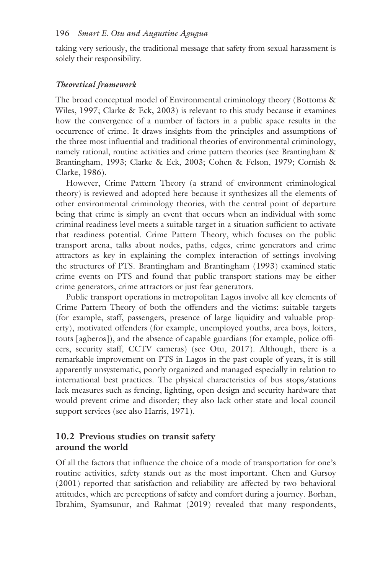taking very seriously, the traditional message that safety from sexual harassment is solely their responsibility.

#### *Theoretical framework*

The broad conceptual model of Environmental criminology theory (Bottoms & Wiles, 1997; Clarke & Eck, 2003) is relevant to this study because it examines how the convergence of a number of factors in a public space results in the occurrence of crime. It draws insights from the principles and assumptions of the three most influential and traditional theories of environmental criminology, namely rational, routine activities and crime pattern theories (see Brantingham & Brantingham, 1993; Clarke & Eck, 2003; Cohen & Felson, 1979; Cornish & Clarke, 1986).

However, Crime Pattern Theory (a strand of environment criminological theory) is reviewed and adopted here because it synthesizes all the elements of other environmental criminology theories, with the central point of departure being that crime is simply an event that occurs when an individual with some criminal readiness level meets a suitable target in a situation sufficient to activate that readiness potential. Crime Pattern Theory, which focuses on the public transport arena, talks about nodes, paths, edges, crime generators and crime attractors as key in explaining the complex interaction of settings involving the structures of PTS. Brantingham and Brantingham (1993) examined static crime events on PTS and found that public transport stations may be either crime generators, crime attractors or just fear generators.

Public transport operations in metropolitan Lagos involve all key elements of Crime Pattern Theory of both the offenders and the victims: suitable targets (for example, staff, passengers, presence of large liquidity and valuable property), motivated offenders (for example, unemployed youths, area boys, loiters, touts [agberos]), and the absence of capable guardians (for example, police officers, security staff, CCTV cameras) (see Otu, 2017). Although, there is a remarkable improvement on PTS in Lagos in the past couple of years, it is still apparently unsystematic, poorly organized and managed especially in relation to international best practices. The physical characteristics of bus stops/stations lack measures such as fencing, lighting, open design and security hardware that would prevent crime and disorder; they also lack other state and local council support services (see also Harris, 1971).

# **10.2 Previous studies on transit safety around the world**

Of all the factors that influence the choice of a mode of transportation for one's routine activities, safety stands out as the most important. Chen and Gursoy (2001) reported that satisfaction and reliability are affected by two behavioral attitudes, which are perceptions of safety and comfort during a journey. Borhan, Ibrahim, Syamsunur, and Rahmat (2019) revealed that many respondents,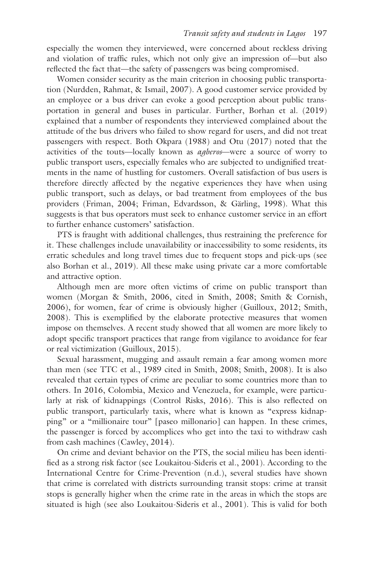especially the women they interviewed, were concerned about reckless driving and violation of traffic rules, which not only give an impression of—but also reflected the fact that—the safety of passengers was being compromised.

Women consider security as the main criterion in choosing public transportation (Nurdden, Rahmat, & Ismail, 2007). A good customer service provided by an employee or a bus driver can evoke a good perception about public transportation in general and buses in particular. Further, Borhan et al. (2019) explained that a number of respondents they interviewed complained about the attitude of the bus drivers who failed to show regard for users, and did not treat passengers with respect. Both Okpara (1988) and Otu (2017) noted that the activities of the touts—locally known as *agberos*—were a source of worry to public transport users, especially females who are subjected to undignified treatments in the name of hustling for customers. Overall satisfaction of bus users is therefore directly affected by the negative experiences they have when using public transport, such as delays, or bad treatment from employees of the bus providers (Friman, 2004; Friman, Edvardsson, & Gärling, 1998). What this suggests is that bus operators must seek to enhance customer service in an effort to further enhance customers' satisfaction.

PTS is fraught with additional challenges, thus restraining the preference for it. These challenges include unavailability or inaccessibility to some residents, its erratic schedules and long travel times due to frequent stops and pick-ups (see also Borhan et al., 2019). All these make using private car a more comfortable and attractive option.

Although men are more often victims of crime on public transport than women (Morgan & Smith, 2006, cited in Smith, 2008; Smith & Cornish, 2006), for women, fear of crime is obviously higher (Guilloux, 2012; Smith, 2008). This is exemplified by the elaborate protective measures that women impose on themselves. A recent study showed that all women are more likely to adopt specific transport practices that range from vigilance to avoidance for fear or real victimization (Guilloux, 2015).

Sexual harassment, mugging and assault remain a fear among women more than men (see TTC et al., 1989 cited in Smith, 2008; Smith, 2008). It is also revealed that certain types of crime are peculiar to some countries more than to others. In 2016, Colombia, Mexico and Venezuela, for example, were particularly at risk of kidnappings (Control Risks, 2016). This is also reflected on public transport, particularly taxis, where what is known as "express kidnapping" or a "millionaire tour" [paseo millonario] can happen. In these crimes, the passenger is forced by accomplices who get into the taxi to withdraw cash from cash machines (Cawley, 2014).

On crime and deviant behavior on the PTS, the social milieu has been identified as a strong risk factor (see Loukaitou-Sideris et al., 2001). According to the International Centre for Crime-Prevention (n.d.), several studies have shown that crime is correlated with districts surrounding transit stops: crime at transit stops is generally higher when the crime rate in the areas in which the stops are situated is high (see also Loukaitou-Sideris et al., 2001). This is valid for both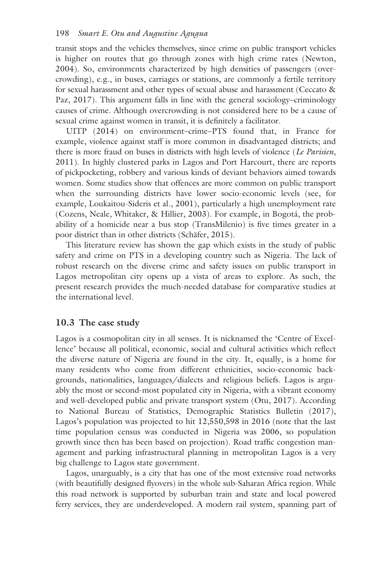#### 198 *Smart E. Otu and Augustine Agugua*

transit stops and the vehicles themselves, since crime on public transport vehicles is higher on routes that go through zones with high crime rates (Newton, 2004). So, environments characterized by high densities of passengers (overcrowding), e.g., in buses, carriages or stations, are commonly a fertile territory for sexual harassment and other types of sexual abuse and harassment (Ceccato & Paz, 2017). This argument falls in line with the general sociology–criminology causes of crime. Although overcrowding is not considered here to be a cause of sexual crime against women in transit, it is definitely a facilitator.

UITP (2014) on environment–crime–PTS found that, in France for example, violence against staff is more common in disadvantaged districts; and there is more fraud on buses in districts with high levels of violence (*Le Parisien*, 2011). In highly clustered parks in Lagos and Port Harcourt, there are reports of pickpocketing, robbery and various kinds of deviant behaviors aimed towards women. Some studies show that offences are more common on public transport when the surrounding districts have lower socio-economic levels (see, for example, Loukaitou-Sideris et al., 2001), particularly a high unemployment rate (Cozens, Neale, Whitaker, & Hillier, 2003). For example, in Bogotá, the probability of a homicide near a bus stop (TransMilenio) is five times greater in a poor district than in other districts (Schäfer, 2015).

This literature review has shown the gap which exists in the study of public safety and crime on PTS in a developing country such as Nigeria. The lack of robust research on the diverse crime and safety issues on public transport in Lagos metropolitan city opens up a vista of areas to explore. As such, the present research provides the much-needed database for comparative studies at the international level.

## **10.3 The case study**

Lagos is a cosmopolitan city in all senses. It is nicknamed the 'Centre of Excellence' because all political, economic, social and cultural activities which reflect the diverse nature of Nigeria are found in the city. It, equally, is a home for many residents who come from different ethnicities, socio-economic backgrounds, nationalities, languages/dialects and religious beliefs. Lagos is arguably the most or second-most populated city in Nigeria, with a vibrant economy and well-developed public and private transport system (Otu, 2017). According to National Bureau of Statistics, Demographic Statistics Bulletin (2017), Lagos's population was projected to hit 12,550,598 in 2016 (note that the last time population census was conducted in Nigeria was 2006, so population growth since then has been based on projection). Road traffic congestion management and parking infrastructural planning in metropolitan Lagos is a very big challenge to Lagos state government.

Lagos, unarguably, is a city that has one of the most extensive road networks (with beautifully designed flyovers) in the whole sub-Saharan Africa region. While this road network is supported by suburban train and state and local powered ferry services, they are underdeveloped. A modern rail system, spanning part of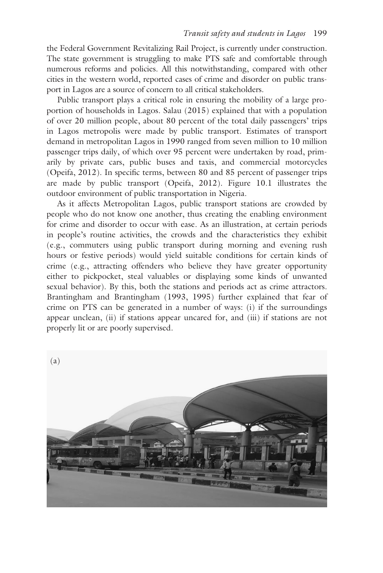the Federal Government Revitalizing Rail Project, is currently under construction. The state government is struggling to make PTS safe and comfortable through numerous reforms and policies. All this notwithstanding, compared with other cities in the western world, reported cases of crime and disorder on public transport in Lagos are a source of concern to all critical stakeholders.

Public transport plays a critical role in ensuring the mobility of a large proportion of households in Lagos. Salau (2015) explained that with a population of over 20 million people, about 80 percent of the total daily passengers' trips in Lagos metropolis were made by public transport. Estimates of transport demand in metropolitan Lagos in 1990 ranged from seven million to 10 million passenger trips daily, of which over 95 percent were undertaken by road, primarily by private cars, public buses and taxis, and commercial motorcycles (Opeifa, 2012). In specific terms, between 80 and 85 percent of passenger trips are made by public transport (Opeifa, 2012). [Figure 10.1](#page--1-0) illustrates the outdoor environment of public transportation in Nigeria.

As it affects Metropolitan Lagos, public transport stations are crowded by people who do not know one another, thus creating the enabling environment for crime and disorder to occur with ease. As an illustration, at certain periods in people's routine activities, the crowds and the characteristics they exhibit (e.g., commuters using public transport during morning and evening rush hours or festive periods) would yield suitable conditions for certain kinds of crime (e.g., attracting offenders who believe they have greater opportunity either to pickpocket, steal valuables or displaying some kinds of unwanted sexual behavior). By this, both the stations and periods act as crime attractors. Brantingham and Brantingham (1993, 1995) further explained that fear of crime on PTS can be generated in a number of ways: (i) if the surroundings appear unclean, (ii) if stations appear uncared for, and (iii) if stations are not properly lit or are poorly supervised.

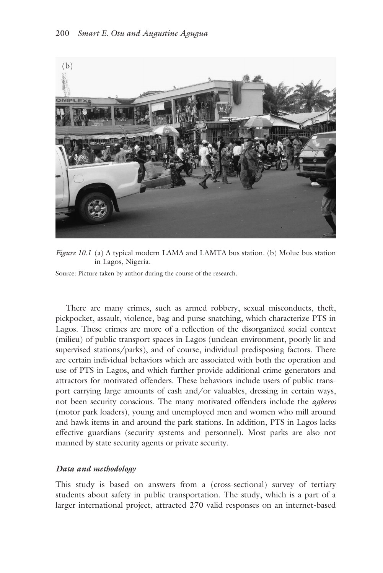

*[Figure 10.1](#page--1-0)* (a) A typical modern LAMA and LAMTA bus station. (b) Molue bus station in Lagos, Nigeria.

Source: Picture taken by author during the course of the research.

There are many crimes, such as armed robbery, sexual misconducts, theft, pickpocket, assault, violence, bag and purse snatching, which characterize PTS in Lagos. These crimes are more of a reflection of the disorganized social context (milieu) of public transport spaces in Lagos (unclean environment, poorly lit and supervised stations/parks), and of course, individual predisposing factors. There are certain individual behaviors which are associated with both the operation and use of PTS in Lagos, and which further provide additional crime generators and attractors for motivated offenders. These behaviors include users of public transport carrying large amounts of cash and/or valuables, dressing in certain ways, not been security conscious. The many motivated offenders include the *agberos* (motor park loaders), young and unemployed men and women who mill around and hawk items in and around the park stations. In addition, PTS in Lagos lacks effective guardians (security systems and personnel). Most parks are also not manned by state security agents or private security.

#### *Data and methodology*

This study is based on answers from a (cross-sectional) survey of tertiary students about safety in public transportation. The study, which is a part of a larger international project, attracted 270 valid responses on an internet-based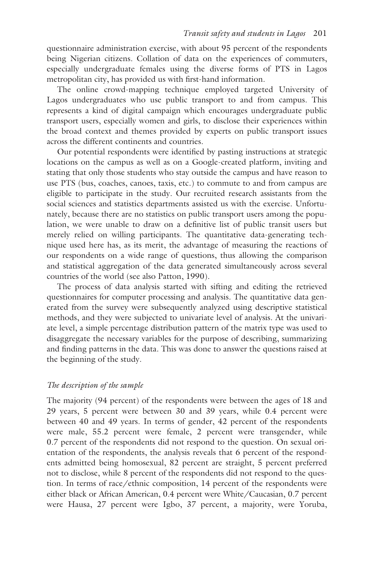questionnaire administration exercise, with about 95 percent of the respondents being Nigerian citizens. Collation of data on the experiences of commuters, especially undergraduate females using the diverse forms of PTS in Lagos metropolitan city, has provided us with first-hand information.

The online crowd-mapping technique employed targeted University of Lagos undergraduates who use public transport to and from campus. This represents a kind of digital campaign which encourages undergraduate public transport users, especially women and girls, to disclose their experiences within the broad context and themes provided by experts on public transport issues across the different continents and countries.

Our potential respondents were identified by pasting instructions at strategic locations on the campus as well as on a Google-created platform, inviting and stating that only those students who stay outside the campus and have reason to use PTS (bus, coaches, canoes, taxis, etc.) to commute to and from campus are eligible to participate in the study. Our recruited research assistants from the social sciences and statistics departments assisted us with the exercise. Unfortunately, because there are no statistics on public transport users among the population, we were unable to draw on a definitive list of public transit users but merely relied on willing participants. The quantitative data-generating technique used here has, as its merit, the advantage of measuring the reactions of our respondents on a wide range of questions, thus allowing the comparison and statistical aggregation of the data generated simultaneously across several countries of the world (see also Patton, 1990).

The process of data analysis started with sifting and editing the retrieved questionnaires for computer processing and analysis. The quantitative data generated from the survey were subsequently analyzed using descriptive statistical methods, and they were subjected to univariate level of analysis. At the univariate level, a simple percentage distribution pattern of the matrix type was used to disaggregate the necessary variables for the purpose of describing, summarizing and finding patterns in the data. This was done to answer the questions raised at the beginning of the study.

#### *The description of the sample*

The majority (94 percent) of the respondents were between the ages of 18 and 29 years, 5 percent were between 30 and 39 years, while 0.4 percent were between 40 and 49 years. In terms of gender, 42 percent of the respondents were male, 55.2 percent were female, 2 percent were transgender, while 0.7 percent of the respondents did not respond to the question. On sexual orientation of the respondents, the analysis reveals that 6 percent of the respondents admitted being homosexual, 82 percent are straight, 5 percent preferred not to disclose, while 8 percent of the respondents did not respond to the question. In terms of race/ethnic composition, 14 percent of the respondents were either black or African American, 0.4 percent were White/Caucasian, 0.7 percent were Hausa, 27 percent were Igbo, 37 percent, a majority, were Yoruba,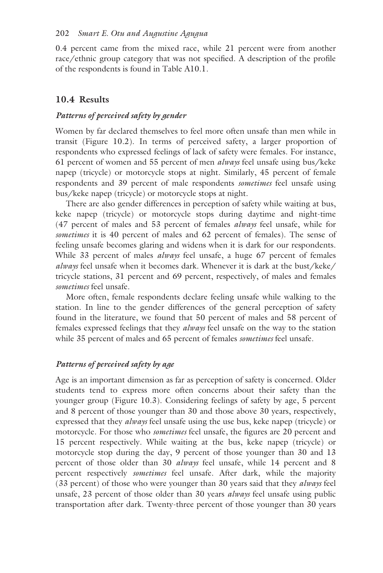0.4 percent came from the mixed race, while 21 percent were from another race/ethnic group category that was not specified. A description of the profile of the respondents is found in [Table A10.1.](#page--1-0)

# **10.4 Results**

## *Patterns of perceived safety by gender*

Women by far declared themselves to feel more often unsafe than men while in transit [\(Figure 10.2\).](#page--1-0) In terms of perceived safety, a larger proportion of respondents who expressed feelings of lack of safety were females. For instance, 61 percent of women and 55 percent of men *always* feel unsafe using bus/keke napep (tricycle) or motorcycle stops at night. Similarly, 45 percent of female respondents and 39 percent of male respondents *sometimes* feel unsafe using bus/keke napep (tricycle) or motorcycle stops at night.

There are also gender differences in perception of safety while waiting at bus, keke napep (tricycle) or motorcycle stops during daytime and night-time (47 percent of males and 53 percent of females *always* feel unsafe, while for *sometimes* it is 40 percent of males and 62 percent of females). The sense of feeling unsafe becomes glaring and widens when it is dark for our respondents. While 33 percent of males *always* feel unsafe, a huge 67 percent of females *always* feel unsafe when it becomes dark. Whenever it is dark at the bust/keke/ tricycle stations, 31 percent and 69 percent, respectively, of males and females *sometimes* feel unsafe.

More often, female respondents declare feeling unsafe while walking to the station. In line to the gender differences of the general perception of safety found in the literature, we found that 50 percent of males and 58 percent of females expressed feelings that they *always* feel unsafe on the way to the station while 35 percent of males and 65 percent of females *sometimes* feel unsafe.

## *Patterns of perceived safety by age*

Age is an important dimension as far as perception of safety is concerned. Older students tend to express more often concerns about their safety than the younger group [\(Figure 10.3\)](#page--1-0). Considering feelings of safety by age, 5 percent and 8 percent of those younger than 30 and those above 30 years, respectively, expressed that they *always* feel unsafe using the use bus, keke napep (tricycle) or motorcycle. For those who *sometimes* feel unsafe, the figures are 20 percent and 15 percent respectively. While waiting at the bus, keke napep (tricycle) or motorcycle stop during the day, 9 percent of those younger than 30 and 13 percent of those older than 30 *always* feel unsafe, while 14 percent and 8 percent respectively *sometimes* feel unsafe. After dark, while the majority (33 percent) of those who were younger than 30 years said that they *always* feel unsafe, 23 percent of those older than 30 years *always* feel unsafe using public transportation after dark. Twenty-three percent of those younger than 30 years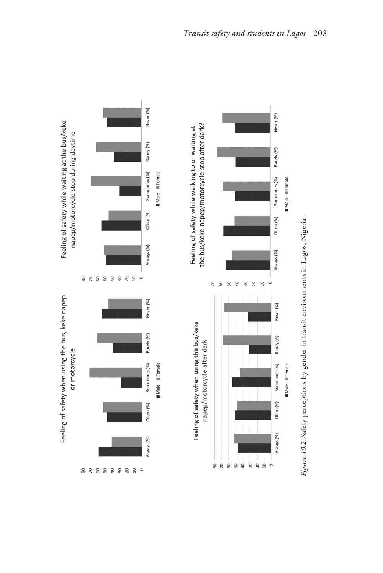

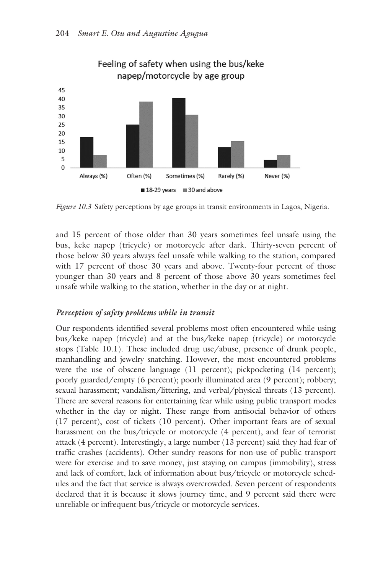

*[Figure 10.3](#page--1-0)* Safety perceptions by age groups in transit environments in Lagos, Nigeria.

and 15 percent of those older than 30 years sometimes feel unsafe using the bus, keke napep (tricycle) or motorcycle after dark. Thirty-seven percent of those below 30 years always feel unsafe while walking to the station, compared with 17 percent of those 30 years and above. Twenty-four percent of those younger than 30 years and 8 percent of those above 30 years sometimes feel unsafe while walking to the station, whether in the day or at night.

## *Perception of safety problems while in transit*

Our respondents identified several problems most often encountered while using bus/keke napep (tricycle) and at the bus/keke napep (tricycle) or motorcycle stops [\(Table 10.1\)](#page--1-0). These included drug use/abuse, presence of drunk people, manhandling and jewelry snatching. However, the most encountered problems were the use of obscene language (11 percent); pickpocketing (14 percent); poorly guarded/empty (6 percent); poorly illuminated area (9 percent); robbery; sexual harassment; vandalism/littering, and verbal/physical threats (13 percent). There are several reasons for entertaining fear while using public transport modes whether in the day or night. These range from antisocial behavior of others (17 percent), cost of tickets (10 percent). Other important fears are of sexual harassment on the bus/tricycle or motorcycle (4 percent), and fear of terrorist attack (4 percent). Interestingly, a large number (13 percent) said they had fear of traffic crashes (accidents). Other sundry reasons for non-use of public transport were for exercise and to save money, just staying on campus (immobility), stress and lack of comfort, lack of information about bus/tricycle or motorcycle schedules and the fact that service is always overcrowded. Seven percent of respondents declared that it is because it slows journey time, and 9 percent said there were unreliable or infrequent bus/tricycle or motorcycle services.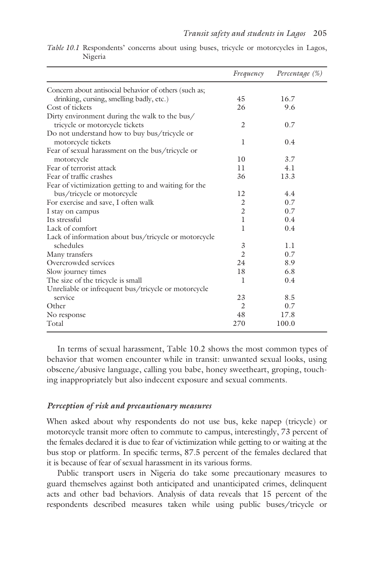|                                                       | Frequency      | Percentage (%) |
|-------------------------------------------------------|----------------|----------------|
| Concern about antisocial behavior of others (such as; |                |                |
| drinking, cursing, smelling badly, etc.)              | 45             | 16.7           |
| Cost of tickets                                       | 26             | 9.6            |
| Dirty environment during the walk to the bus/         |                |                |
| tricycle or motorcycle tickets                        | 2              | 0.7            |
| Do not understand how to buy bus/tricycle or          |                |                |
| motorcycle tickets                                    | 1              | 0.4            |
| Fear of sexual harassment on the bus/tricycle or      |                |                |
| motorcycle                                            | 10             | 3.7            |
| Fear of terrorist attack                              | 11             | 4.1            |
| Fear of traffic crashes                               | 36             | 13.3           |
| Fear of victimization getting to and waiting for the  |                |                |
| bus/tricycle or motorcycle                            | 12             | 4.4            |
| For exercise and save, I often walk                   | 2              | 0.7            |
| I stay on campus                                      | $\overline{2}$ | 0.7            |
| Its stressful                                         | $\mathbf{I}$   | 0.4            |
| Lack of comfort                                       | 1              | 0.4            |
| Lack of information about bus/tricycle or motorcycle  |                |                |
| schedules                                             | 3              | 1.1            |
| Many transfers                                        | $\overline{2}$ | 0.7            |
| Overcrowded services                                  | 24             | 8.9            |
| Slow journey times                                    | 18             | 6.8            |
| The size of the tricycle is small                     | 1              | 0.4            |
| Unreliable or infrequent bus/tricycle or motorcycle   |                |                |
| service                                               | 23             | 8.5            |
| Other                                                 | $\overline{c}$ | 0.7            |
| No response                                           | 48             | 17.8           |
| Total                                                 | 270            | 100.0          |

*[Table 10.1](#page--1-0)* Respondents' concerns about using buses, tricycle or motorcycles in Lagos, Nigeria

In terms of sexual harassment, [Table 10.2](#page--1-0) shows the most common types of behavior that women encounter while in transit: unwanted sexual looks, using obscene/abusive language, calling you babe, honey sweetheart, groping, touching inappropriately but also indecent exposure and sexual comments.

#### *Perception of risk and precautionary measures*

When asked about why respondents do not use bus, keke napep (tricycle) or motorcycle transit more often to commute to campus, interestingly, 73 percent of the females declared it is due to fear of victimization while getting to or waiting at the bus stop or platform. In specific terms, 87.5 percent of the females declared that it is because of fear of sexual harassment in its various forms.

Public transport users in Nigeria do take some precautionary measures to guard themselves against both anticipated and unanticipated crimes, delinquent acts and other bad behaviors. Analysis of data reveals that 15 percent of the respondents described measures taken while using public buses/tricycle or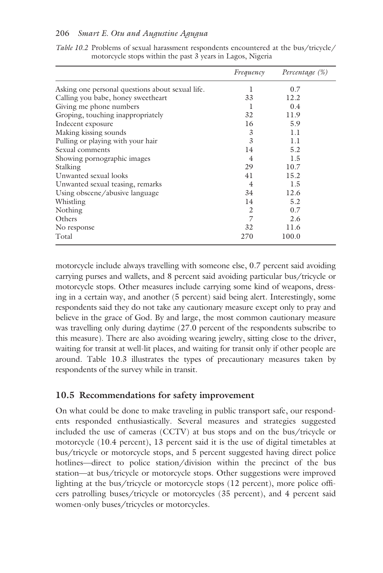#### 206 *Smart E. Otu and Augustine Agugua*

|                                                  | Frequency      | Percentage (%) |
|--------------------------------------------------|----------------|----------------|
| Asking one personal questions about sexual life. | ı              | 0.7            |
| Calling you babe, honey sweetheart               | 33             | 12.2           |
| Giving me phone numbers                          | L              | 0.4            |
| Groping, touching inappropriately                | 32             | 11.9           |
| Indecent exposure                                | 16             | 5.9            |
| Making kissing sounds                            | 3              | 1.1            |
| Pulling or playing with your hair                | 3              | 1.1            |
| Sexual comments                                  | 14             | 5.2            |
| Showing pornographic images                      | $\overline{4}$ | 1.5            |
| Stalking                                         | 29             | 10.7           |
| Unwanted sexual looks                            | 41             | 15.2           |
| Unwanted sexual teasing, remarks                 | $\overline{4}$ | 1.5            |
| Using obscene/abusive language                   | 34             | 12.6           |
| Whistling                                        | 14             | 5.2            |
| Nothing                                          | 2              | 0.7            |
| Others                                           | 7              | 2.6            |
| No response                                      | 32             | 11.6           |
| Total                                            | 270            | 100.0          |

*[Table 10.2](#page--1-0)* Problems of sexual harassment respondents encountered at the bus/tricycle/ motorcycle stops within the past  $3$  years in Lagos, Nigeria

motorcycle include always travelling with someone else, 0.7 percent said avoiding carrying purses and wallets, and 8 percent said avoiding particular bus/tricycle or motorcycle stops. Other measures include carrying some kind of weapons, dressing in a certain way, and another (5 percent) said being alert. Interestingly, some respondents said they do not take any cautionary measure except only to pray and believe in the grace of God. By and large, the most common cautionary measure was travelling only during daytime (27.0 percent of the respondents subscribe to this measure). There are also avoiding wearing jewelry, sitting close to the driver, waiting for transit at well-lit places, and waiting for transit only if other people are around. [Table 10.3](#page--1-0) illustrates the types of precautionary measures taken by respondents of the survey while in transit.

# **10.5 Recommendations for safety improvement**

On what could be done to make traveling in public transport safe, our respondents responded enthusiastically. Several measures and strategies suggested included the use of cameras (CCTV) at bus stops and on the bus/tricycle or motorcycle (10.4 percent), 13 percent said it is the use of digital timetables at bus/tricycle or motorcycle stops, and 5 percent suggested having direct police hotlines—direct to police station/division within the precinct of the bus station—at bus/tricycle or motorcycle stops. Other suggestions were improved lighting at the bus/tricycle or motorcycle stops (12 percent), more police officers patrolling buses/tricycle or motorcycles (35 percent), and 4 percent said women-only buses/tricycles or motorcycles.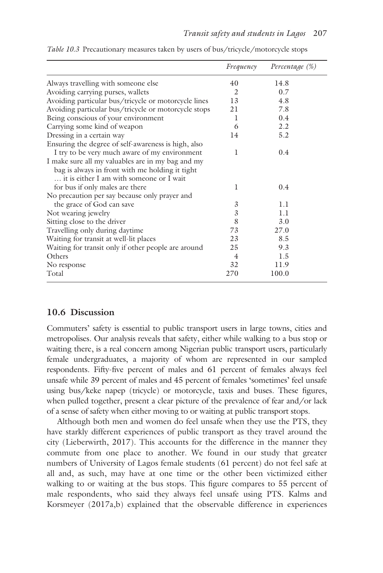|                                                      | Frequency      | Percentage (%) |
|------------------------------------------------------|----------------|----------------|
| Always travelling with someone else                  | 40             | 14.8           |
| Avoiding carrying purses, wallets                    | 2              | 0.7            |
| Avoiding particular bus/tricycle or motorcycle lines | 13             | 4.8            |
| Avoiding particular bus/tricycle or motorcycle stops | 21             | 7.8            |
| Being conscious of your environment                  | 1              | 0.4            |
| Carrying some kind of weapon                         | 6              | 2.2            |
| Dressing in a certain way                            | 14             | 5.2            |
| Ensuring the degree of self-awareness is high, also  |                |                |
| I try to be very much aware of my environment        | T              | 0.4            |
| I make sure all my valuables are in my bag and my    |                |                |
| bag is always in front with me holding it tight      |                |                |
| it is either I am with someone or I wait             |                |                |
| for bus if only males are there                      | 1              | 0.4            |
| No precaution per say because only prayer and        |                |                |
| the grace of God can save                            | 3              | 1.1            |
| Not wearing jewelry                                  | 3              | 1.1            |
| Sitting close to the driver                          | 8              | 3.0            |
| Travelling only during daytime                       | 73             | 27.0           |
| Waiting for transit at well-lit places               | 23             | 8.5            |
| Waiting for transit only if other people are around  | 25             | 9.3            |
| Others                                               | $\overline{4}$ | 1.5            |
| No response                                          | 32             | 11.9           |
| Total                                                | 270            | 100.0          |

*[Table 10.3](#page--1-0)* Precautionary measures taken by users of bus/tricycle/motorcycle stops

#### **10.6 Discussion**

Commuters' safety is essential to public transport users in large towns, cities and metropolises. Our analysis reveals that safety, either while walking to a bus stop or waiting there, is a real concern among Nigerian public transport users, particularly female undergraduates, a majority of whom are represented in our sampled respondents. Fifty-five percent of males and 61 percent of females always feel unsafe while 39 percent of males and 45 percent of females 'sometimes' feel unsafe using bus/keke napep (tricycle) or motorcycle, taxis and buses. These figures, when pulled together, present a clear picture of the prevalence of fear and/or lack of a sense of safety when either moving to or waiting at public transport stops.

Although both men and women do feel unsafe when they use the PTS, they have starkly different experiences of public transport as they travel around the city (Lieberwirth, 2017). This accounts for the difference in the manner they commute from one place to another. We found in our study that greater numbers of University of Lagos female students (61 percent) do not feel safe at all and, as such, may have at one time or the other been victimized either walking to or waiting at the bus stops. This figure compares to 55 percent of male respondents, who said they always feel unsafe using PTS. Kalms and Korsmeyer (2017a,b) explained that the observable difference in experiences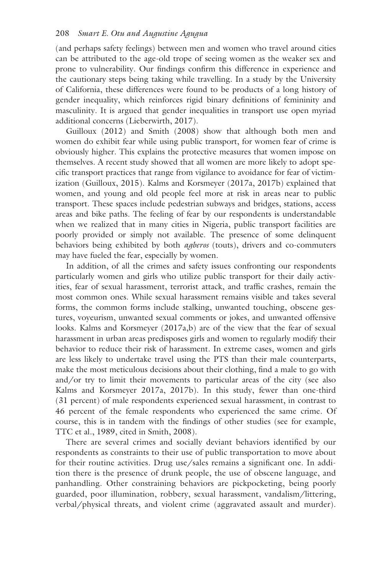(and perhaps safety feelings) between men and women who travel around cities can be attributed to the age-old trope of seeing women as the weaker sex and prone to vulnerability. Our findings confirm this difference in experience and the cautionary steps being taking while travelling. In a study by the University of California, these differences were found to be products of a long history of gender inequality, which reinforces rigid binary definitions of femininity and masculinity. It is argued that gender inequalities in transport use open myriad additional concerns (Lieberwirth, 2017).

Guilloux (2012) and Smith (2008) show that although both men and women do exhibit fear while using public transport, for women fear of crime is obviously higher. This explains the protective measures that women impose on themselves. A recent study showed that all women are more likely to adopt specific transport practices that range from vigilance to avoidance for fear of victimization (Guilloux, 2015). Kalms and Korsmeyer (2017a, 2017b) explained that women, and young and old people feel more at risk in areas near to public transport. These spaces include pedestrian subways and bridges, stations, access areas and bike paths. The feeling of fear by our respondents is understandable when we realized that in many cities in Nigeria, public transport facilities are poorly provided or simply not available. The presence of some delinquent behaviors being exhibited by both *agberos* (touts), drivers and co-commuters may have fueled the fear, especially by women.

In addition, of all the crimes and safety issues confronting our respondents particularly women and girls who utilize public transport for their daily activities, fear of sexual harassment, terrorist attack, and traffic crashes, remain the most common ones. While sexual harassment remains visible and takes several forms, the common forms include stalking, unwanted touching, obscene gestures, voyeurism, unwanted sexual comments or jokes, and unwanted offensive looks. Kalms and Korsmeyer (2017a,b) are of the view that the fear of sexual harassment in urban areas predisposes girls and women to regularly modify their behavior to reduce their risk of harassment. In extreme cases, women and girls are less likely to undertake travel using the PTS than their male counterparts, make the most meticulous decisions about their clothing, find a male to go with and/or try to limit their movements to particular areas of the city (see also Kalms and Korsmeyer 2017a, 2017b). In this study, fewer than one-third (31 percent) of male respondents experienced sexual harassment, in contrast to 46 percent of the female respondents who experienced the same crime. Of course, this is in tandem with the findings of other studies (see for example, TTC et al., 1989, cited in Smith, 2008).

There are several crimes and socially deviant behaviors identified by our respondents as constraints to their use of public transportation to move about for their routine activities. Drug use/sales remains a significant one. In addition there is the presence of drunk people, the use of obscene language, and panhandling. Other constraining behaviors are pickpocketing, being poorly guarded, poor illumination, robbery, sexual harassment, vandalism/littering, verbal/physical threats, and violent crime (aggravated assault and murder).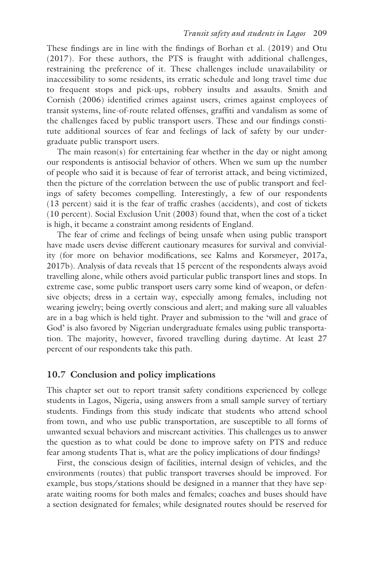These findings are in line with the findings of Borhan et al. (2019) and Otu (2017). For these authors, the PTS is fraught with additional challenges, restraining the preference of it. These challenges include unavailability or inaccessibility to some residents, its erratic schedule and long travel time due to frequent stops and pick-ups, robbery insults and assaults. Smith and Cornish (2006) identified crimes against users, crimes against employees of transit systems, line-of-route related offenses, graffiti and vandalism as some of the challenges faced by public transport users. These and our findings constitute additional sources of fear and feelings of lack of safety by our undergraduate public transport users.

The main reason(s) for entertaining fear whether in the day or night among our respondents is antisocial behavior of others. When we sum up the number of people who said it is because of fear of terrorist attack, and being victimized, then the picture of the correlation between the use of public transport and feelings of safety becomes compelling. Interestingly, a few of our respondents (13 percent) said it is the fear of traffic crashes (accidents), and cost of tickets (10 percent). Social Exclusion Unit (2003) found that, when the cost of a ticket is high, it became a constraint among residents of England.

The fear of crime and feelings of being unsafe when using public transport have made users devise different cautionary measures for survival and conviviality (for more on behavior modifications, see Kalms and Korsmeyer, 2017a, 2017b). Analysis of data reveals that 15 percent of the respondents always avoid travelling alone, while others avoid particular public transport lines and stops. In extreme case, some public transport users carry some kind of weapon, or defensive objects; dress in a certain way, especially among females, including not wearing jewelry; being overtly conscious and alert; and making sure all valuables are in a bag which is held tight. Prayer and submission to the 'will and grace of God' is also favored by Nigerian undergraduate females using public transportation. The majority, however, favored travelling during daytime. At least 27 percent of our respondents take this path.

## **10.7 Conclusion and policy implications**

This chapter set out to report transit safety conditions experienced by college students in Lagos, Nigeria, using answers from a small sample survey of tertiary students. Findings from this study indicate that students who attend school from town, and who use public transportation, are susceptible to all forms of unwanted sexual behaviors and miscreant activities. This challenges us to answer the question as to what could be done to improve safety on PTS and reduce fear among students That is, what are the policy implications of dour findings?

First, the conscious design of facilities, internal design of vehicles, and the environments (routes) that public transport traverses should be improved. For example, bus stops/stations should be designed in a manner that they have separate waiting rooms for both males and females; coaches and buses should have a section designated for females; while designated routes should be reserved for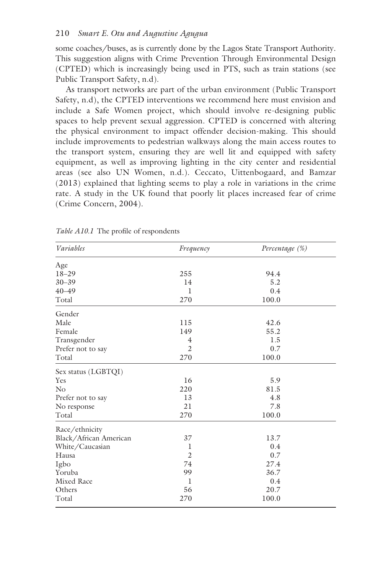some coaches/buses, as is currently done by the Lagos State Transport Authority. This suggestion aligns with Crime Prevention Through Environmental Design (CPTED) which is increasingly being used in PTS, such as train stations (see Public Transport Safety, n.d).

As transport networks are part of the urban environment (Public Transport Safety, n.d), the CPTED interventions we recommend here must envision and include a Safe Women project, which should involve re-designing public spaces to help prevent sexual aggression. CPTED is concerned with altering the physical environment to impact offender decision-making. This should include improvements to pedestrian walkways along the main access routes to the transport system, ensuring they are well lit and equipped with safety equipment, as well as improving lighting in the city center and residential areas (see also UN Women, n.d.). Ceccato, Uittenbogaard, and Bamzar (2013) explained that lighting seems to play a role in variations in the crime rate. A study in the UK found that poorly lit places increased fear of crime (Crime Concern, 2004).

| Variables              | Frequency      | Percentage (%) |  |
|------------------------|----------------|----------------|--|
| Age                    |                |                |  |
| $18 - 29$              | 255            | 94.4           |  |
| $30 - 39$              | 14             | 5.2            |  |
| $40 - 49$              | 1              | 0.4            |  |
| Total                  | 270            | 100.0          |  |
| Gender                 |                |                |  |
| Male                   | 115            | 42.6           |  |
| Female                 | 149            | 55.2           |  |
| Transgender            | 4              | 1.5            |  |
| Prefer not to say      | $\overline{2}$ | 0.7            |  |
| Total                  | 270            | 100.0          |  |
| Sex status (LGBTQI)    |                |                |  |
| Yes                    | 16             | 5.9            |  |
| No                     | 220            | 81.5           |  |
| Prefer not to say      | 13             | 4.8            |  |
| No response            | 21             | 7.8            |  |
| Total                  | 270            | 100.0          |  |
| Race/ethnicity         |                |                |  |
| Black/African American | 37             | 13.7           |  |
| White/Caucasian        | 1              | 0.4            |  |
| Hausa                  | $\overline{2}$ | 0.7            |  |
| Igbo                   | 74             | 27.4           |  |
| Yoruba                 | 99             | 36.7           |  |
| <b>Mixed Race</b>      | 1              | 0.4            |  |
| Others                 | 56             | 20.7           |  |
| Total                  | 270            | 100.0          |  |

*[Table A10.1](#page--1-0)* The profile of respondents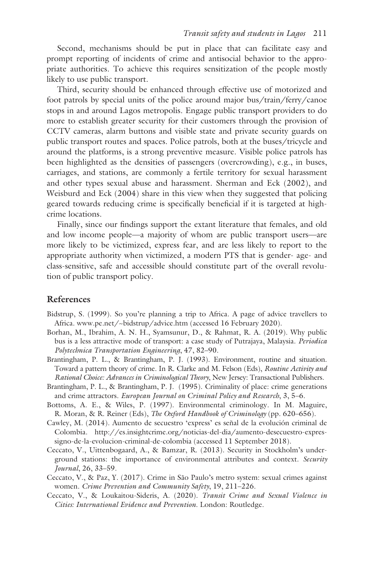Second, mechanisms should be put in place that can facilitate easy and prompt reporting of incidents of crime and antisocial behavior to the appropriate authorities. To achieve this requires sensitization of the people mostly likely to use public transport.

Third, security should be enhanced through effective use of motorized and foot patrols by special units of the police around major bus/train/ferry/canoe stops in and around Lagos metropolis. Engage public transport providers to do more to establish greater security for their customers through the provision of CCTV cameras, alarm buttons and visible state and private security guards on public transport routes and spaces. Police patrols, both at the buses/tricycle and around the platforms, is a strong preventive measure. Visible police patrols has been highlighted as the densities of passengers (overcrowding), e.g., in buses, carriages, and stations, are commonly a fertile territory for sexual harassment and other types sexual abuse and harassment. Sherman and Eck (2002), and Weisburd and Eck (2004) share in this view when they suggested that policing geared towards reducing crime is specifically beneficial if it is targeted at highcrime locations.

Finally, since our findings support the extant literature that females, and old and low income people—a majority of whom are public transport users—are more likely to be victimized, express fear, and are less likely to report to the appropriate authority when victimized, a modern PTS that is gender- age- and class-sensitive, safe and accessible should constitute part of the overall revolution of public transport policy.

#### **References**

- Bidstrup, S. (1999). So you're planning a trip to Africa. A page of advice travellers to Africa[. www.pe.net/~bidstrup/advice.htm \(](www.pe.net)accessed 16 February 2020).
- Borhan, M., Ibrahim, A. N. H., Syamsunur, D., & Rahmat, R. A. (2019). Why public bus is a less attractive mode of transport: a case study of Putrajaya, Malaysia. *Periodica Polytechnica Transportation Engineering*, 47, 82–90.
- Brantingham, P. L., & Brantingham, P. J. (1993). Environment, routine and situation. Toward a pattern theory of crime. In R. Clarke and M. Felson (Eds), *Routine Activity and Rational Choice: Advances in Criminological Theory*, New Jersey: Transactional Publishers.
- Brantingham, P. L., & Brantingham, P. J. (1995). Criminality of place: crime generations and crime attractors. *European Journal on Criminal Policy and Research*, 3, 5–6.
- Bottoms, A. E., & Wiles, P. (1997). Environmental criminology. In M. Maguire, R. Moran, & R. Reiner (Eds), *The Oxford Handbook of Criminology* (pp. 620–656).
- Cawley, M. (2014). Aumento de secuestro 'express' es señal de la evolución criminal de Colombia. [http://es.insightcrime.org/noticias-del-dia/aumento-desecuestro-expres](http://es.insightcrime.org)[signo-de-la-evolucion-criminal-de-colombia](http://es.insightcrime.org) (accessed 11 September 2018).
- Ceccato, V., Uittenbogaard, A., & Bamzar, R. (2013). Security in Stockholm's underground stations: the importance of environmental attributes and context. *Security Journal*, 26, 33–59.
- Ceccato, V., & Paz, Y. (2017). Crime in São Paulo's metro system: sexual crimes against women. *Crime Prevention and Community Safety*, 19, 211–226.
- Ceccato, V., & Loukaitou-Sideris, A. (2020). *Transit Crime and Sexual Violence in Cities: International Evidence and Prevention*. London: Routledge.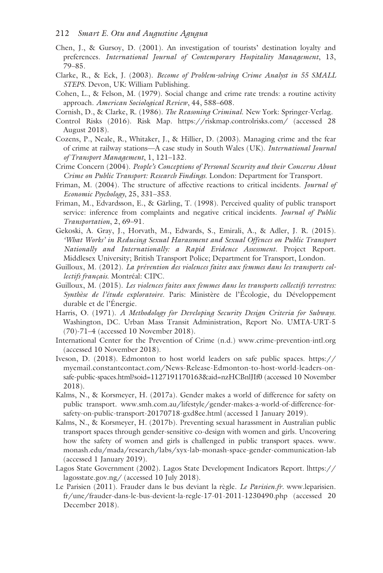- Chen, J., & Gursoy, D. (2001). An investigation of tourists' destination loyalty and preferences. *International Journal of Contemporary Hospitality Management*, 13, 79–85.
- Clarke, R., & Eck, J. (2003). *Become of Problem-solving Crime Analyst in 55 SMALL STEPS.* Devon, UK: William Publishing.
- Cohen, L., & Felson, M. (1979). Social change and crime rate trends: a routine activity approach. *American Sociological Review*, 44, 588–608.
- Cornish, D., & Clarke, R. (1986). *The Reasoning Criminal*. New York: Springer-Verlag.
- Control Risks (2016). Risk Map. [https://riskmap.controlrisks.com/](https://riskmap.controlrisks.com) (accessed 28 August 2018).
- Cozens, P., Neale, R., Whitaker, J., & Hillier, D. (2003). Managing crime and the fear of crime at railway stations––A case study in South Wales (UK). *International Journal of Transport Management*, 1, 121–132.
- Crime Concern (2004). *People's Conceptions of Personal Security and their Concerns About Crime on Public Transport: Research Findings*. London: Department for Transport.
- Friman, M. (2004). The structure of affective reactions to critical incidents. *Journal of Economic Psychology*, 25, 331–353.
- Friman, M., Edvardsson, E., & Gärling, T. (1998). Perceived quality of public transport service: inference from complaints and negative critical incidents. *Journal of Public Transportation*, 2, 69–91.
- Gekoski, A. Gray, J., Horvath, M., Edwards, S., Emirali, A., & Adler, J. R. (2015). *'What Works' in Reducing Sexual Harassment and Sexual Offences on Public Transport Nationally and Internationally: a Rapid Evidence Assessment.* Project Report. Middlesex University; British Transport Police; Department for Transport, London.
- Guilloux, M. (2012). *La prévention des violences faites aux femmes dans les transports collectifs français*. Montréal: CIPC.
- Guilloux, M. (2015). *Les violences faites aux femmes dans les transports collectifs terrestres: Synthèse de l'étude exploratoire*. Paris: Ministère de l'Écologie, du Développement durable et de l'Énergie.
- Harris, O. (1971). *A Methodology for Developing Security Design Criteria for Subways*. Washington, DC. Urban Mass Transit Administration, Report No. UMTA-URT-5 (70)-71–4 (accessed 10 November 2018).
- International Center for the Prevention of Crime (n.d.) [www.crime-prevention-intl.org](http://www.crime-prevention-intl.org)  (accessed 10 November 2018).
- Iveson, D. (2018). Edmonton to host world leaders on safe public spaces. [https://](https://myemail.constantcontact.com) [myemail.constantcontact.com/News-Release-Edmonton-to-host-world-leaders-on](https://myemail.constantcontact.com)[safe-public-spaces.html?soid=1127191170163&aid=nzHCBnlJIf0 \(](https://myemail.constantcontact.com)accessed 10 November 2018).
- Kalms, N., & Korsmeyer, H. (2017a). Gender makes a world of difference for safety on public transport. [www.smh.com.au/lifestyle/gender-makes-a-world-of-difference-for](www.smh.com.au)[safety-on-public-transport-20170718-gxd8ee.html](www.smh.com.au) (accessed 1 January 2019).
- Kalms, N., & Korsmeyer, H. (2017b). Preventing sexual harassment in Australian public transport spaces through gender-sensitive co-design with women and girls. Uncovering how the safety of women and girls is challenged in public transport spaces. [www.](www.monash.edu) [monash.edu/mada/research/labs/xyx-lab-monash-space-gender-communication-lab](www.monash.edu)  (accessed 1 January 2019).
- Lagos State Government (2002). Lagos State Development Indicators Report. [lhttps://](https://lagosstate.gov.ng) [lagosstate.gov.ng/](https://lagosstate.gov.ng) (accessed 10 July 2018).
- Le Parisien (2011). Frauder dans le bus deviant la règle. *Le Parisien.fr.* [www.leparisien.](www.leparisien.fr) [fr/une/frauder-dans-le-bus-devient-la-regle-17-01-2011-1230490.php](www.leparisien.fr) (accessed 20 December 2018).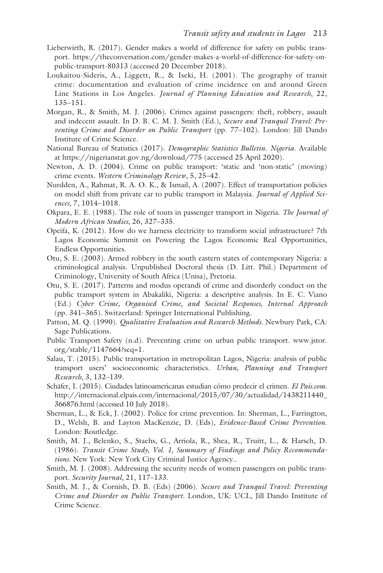- Lieberwirth, R. (2017). Gender makes a world of difference for safety on public transport. [https://theconversation.com/gender-makes-a-world-of-difference-for-safety-on](https://theconversation.com)[public-transport-80313](https://theconversation.com) (accessed 20 December 2018).
- Loukaitou-Sideris, A., Liggett, R., & Iseki, H. (2001). The geography of transit crime: documentation and evaluation of crime incidence on and around Green Line Stations in Los Angeles. *Journal of Planning Education and Research*, 22, 135–151.
- Morgan, R., & Smith, M. J. (2006). Crimes against passengers: theft, robbery, assault and indecent assault. In D. B. C. M. J. Smith (Ed.), *Secure and Tranquil Travel: Preventing Crime and Disorder on Public Transport* (pp. 77–102). London: Jill Dando Institute of Crime Science.
- National Bureau of Statistics (2017). *Demographic Statistics Bulletin. Nigeria*. Available at [https://nigerianstat.gov.ng/download/775](https://nigerianstat.gov.ng) (accessed 25 April 2020).
- Newton, A. D. (2004). Crime on public transport: 'static and 'non-static' (moving) crime events. *Western Criminology Review*, 5, 25–42.
- Nurdden, A., Rahmat, R. A. O. K., & Ismail, A. (2007). Effect of transportation policies on model shift from private car to public transport in Malaysia. *Journal of Applied Sciences*, 7, 1014–1018.
- Okpara, E. E. (1988). The role of touts in passenger transport in Nigeria. *The Journal of Modern African Studies*, 26, 327–335.
- Opeifa, K. (2012). How do we harness electricity to transform social infrastructure? 7th Lagos Economic Summit on Powering the Lagos Economic Real Opportunities, Endless Opportunities.
- Otu, S. E. (2003). Armed robbery in the south eastern states of contemporary Nigeria: a criminological analysis. Unpublished Doctoral thesis (D. Litt. Phil.) Department of Criminology, University of South Africa (Unisa), Pretoria.
- Otu, S. E. (2017). Patterns and modus operandi of crime and disorderly conduct on the public transport system in Abakaliki, Nigeria: a descriptive analysis. In E. C. Viano (Ed.) *Cyber Crime, Organised Crime, and Societal Responses, Internal Approach* (pp. 341–365). Switzerland: Springer International Publishing.
- Patton, M. Q. (1990). *Qualitative Evaluation and Research Methods*. Newbury Park, CA: Sage Publications.
- Public Transport Safety (n.d). Preventing crime on urban public transport. [www.jstor.](www.jstor.org) [org/stable/1147664?seq=1.](www.jstor.org)
- Salau, T. (2015). Public transportation in metropolitan Lagos, Nigeria: analysis of public transport users' socioeconomic characteristics. *Urban, Planning and Transport Research*, 3, 132–139.
- Schäfer, I. (2015). Ciudades latinoamericanas estudian cómo predecir el crimen. *El País.com.* [http://internacional.elpais.com/internacional/2015/07/30/actualidad/1438211440\\_](http://internacional.elpais.com) [366876.html \(](http://internacional.elpais.com)accessed 10 July 2018).
- Sherman, L., & Eck, J. (2002). Police for crime prevention. In: Sherman, L., Farrington, D., Welsh, B. and Layton MacKenzie, D. (Eds), *Evidence-Based Crime Prevention*. London: Routledge.
- Smith, M. J., Belenko, S., Staehs, G., Arriola, R., Shea, R., Truitt, L., & Harsch, D. (1986). *Transit Crime Study, Vol. 1, Summary of Findings and Policy Recommendations*. New York: New York City Criminal Justice Agency..
- Smith, M. J. (2008). Addressing the security needs of women passengers on public transport. *Security Journal*, 21, 117–133.
- Smith, M. J., & Cornish, D. B. (Eds) (2006). *Secure and Tranquil Travel: Preventing Crime and Disorder on Public Transport*. London, UK: UCL, Jill Dando Institute of Crime Science.